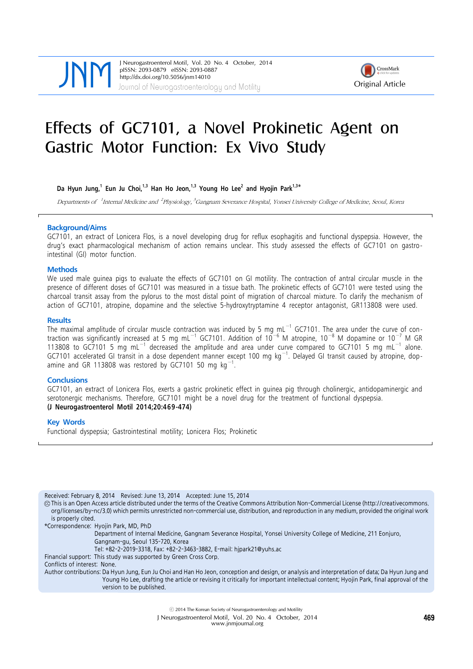

# Effects of GC7101, a Novel Prokinetic Agent on Gastric Motor Function: Ex Vivo Study

Da Hyun Jung,<sup>1</sup> Eun Ju Choi,<sup>1,3</sup> Han Ho Jeon,<sup>1,3</sup> Young Ho Lee<sup>2</sup> and Hyojin Park<sup>1,3\*</sup>

Departments of <sup>1</sup>Internal Medicine and <sup>2</sup>Physiology, <sup>3</sup>Gangnam Severance Hospital, Yonsei University College of Medicine, Seoul, Korea

#### **Background/Aims**

GC7101, an extract of Lonicera Flos, is a novel developing drug for reflux esophagitis and functional dyspepsia. However, the drug's exact pharmacological mechanism of action remains unclear. This study assessed the effects of GC7101 on gastrointestinal (GI) motor function.

#### **Methods**

We used male guinea pigs to evaluate the effects of GC7101 on GI motility. The contraction of antral circular muscle in the presence of different doses of GC7101 was measured in a tissue bath. The prokinetic effects of GC7101 were tested using the charcoal transit assay from the pylorus to the most distal point of migration of charcoal mixture. To clarify the mechanism of action of GC7101, atropine, dopamine and the selective 5-hydroxytryptamine 4 receptor antagonist, GR113808 were used.

#### **Results**

The maximal amplitude of circular muscle contraction was induced by 5 mg mL $^{-1}$  GC7101. The area under the curve of contraction was significantly increased at 5 mg mL $^{-1}$  GC7101. Addition of 10 $^{-6}$  M atropine, 10 $^{-8}$  M dopamine or 10 $^{-7}$  M GR<br>113808 to GC7101 5 mg mL $^{-1}$  decreased the amplitude and area under curve compared to GC7101 GC7101 accelerated GI transit in a dose dependent manner except 100 mg kg<sup>-1</sup>. Delayed GI transit caused by atropine, dopamine and GR 113808 was restored by GC7101 50 mg kg<sup>-1</sup>.

#### **Conclusions**

GC7101, an extract of Lonicera Flos, exerts a gastric prokinetic effect in guinea pig through cholinergic, antidopaminergic and serotonergic mechanisms. Therefore, GC7101 might be a novel drug for the treatment of functional dyspepsia. **(J Neurogastroenterol Motil 2014;20:469-474)**

#### **Key Words**

Functional dyspepsia; Gastrointestinal motility; Lonicera Flos; Prokinetic

Received: February 8, 2014 Revised: June 13, 2014 Accepted: June 15, 2014

CC This is an Open Access article distributed under the terms of the Creative Commons Attribution Non-Commercial License (http://creativecommons. org/licenses/by-nc/3.0) which permits unrestricted non-commercial use, distribution, and reproduction in any medium, provided the original work is properly cited.

\*Correspondence: Hyojin Park, MD, PhD

Department of Internal Medicine, Gangnam Severance Hospital, Yonsei University College of Medicine, 211 Eonjuro,

Gangnam-gu, Seoul 135-720, Korea

Tel: +82-2-2019-3318, Fax: +82-2-3463-3882, E-mail: hjpark21@yuhs.ac

Financial support: This study was supported by Green Cross Corp.

Conflicts of interest: None.

Author contributions: Da Hyun Jung, Eun Ju Choi and Han Ho Jeon, conception and design, or analysis and interpretation of data; Da Hyun Jung and Young Ho Lee, drafting the article or revising it critically for important intellectual content; Hyojin Park, final approval of the version to be published.

ⓒ 2014 The Korean Society of Neurogastroenterology and Motility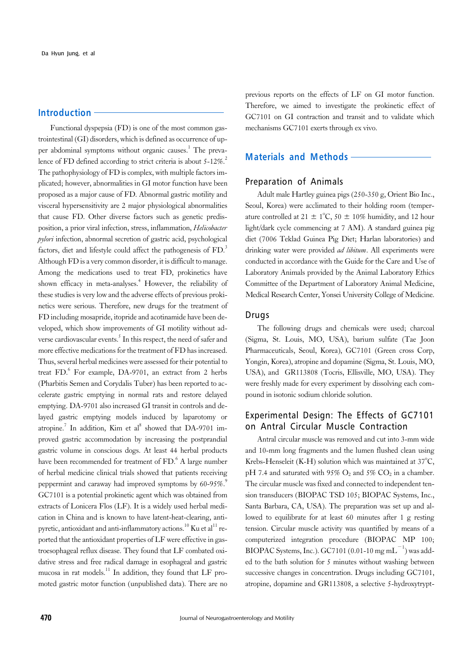## **Introduction**

Functional dyspepsia (FD) is one of the most common gastrointestinal (GI) disorders, which is defined as occurrence of upper abdominal symptoms without organic causes.<sup>1</sup> The prevalence of FD defined according to strict criteria is about  $5-12\%$ . The pathophysiology of FD is complex, with multiple factors implicated; however, abnormalities in GI motor function have been proposed as a major cause of FD. Abnormal gastric motility and visceral hypersensitivity are 2 major physiological abnormalities that cause FD. Other diverse factors such as genetic predisposition, a prior viral infection, stress, inflammation, *Helicobacter pylori* infection, abnormal secretion of gastric acid, psychological factors, diet and lifestyle could affect the pathogenesis of FD.<sup>3</sup> Although FD is a very common disorder, it is difficult to manage. Among the medications used to treat FD, prokinetics have shown efficacy in meta-analyses.<sup>4</sup> However, the reliability of these studies is very low and the adverse effects of previous prokinetics were serious. Therefore, new drugs for the treatment of FD including mosapride, itopride and acotinamide have been developed, which show improvements of GI motility without adverse cardiovascular events.<sup>5</sup> In this respect, the need of safer and more effective medications for the treatment of FD has increased. Thus, several herbal medicines were assessed for their potential to treat FD.<sup>6</sup> For example, DA-9701, an extract from 2 herbs (Pharbitis Semen and Corydalis Tuber) has been reported to accelerate gastric emptying in normal rats and restore delayed emptying. DA-9701 also increased GI transit in controls and delayed gastric emptying models induced by laparotomy or atropine.<sup>7</sup> In addition, Kim et al<sup>8</sup> showed that DA-9701 improved gastric accommodation by increasing the postprandial gastric volume in conscious dogs. At least 44 herbal products have been recommended for treatment of FD.<sup>6</sup> A large number of herbal medicine clinical trials showed that patients receiving peppermint and caraway had improved symptoms by  $60-95\%$ . GC7101 is a potential prokinetic agent which was obtained from extracts of Lonicera Flos (LF). It is a widely used herbal medication in China and is known to have latent-heat-clearing, antipyretic, antioxidant and anti-inflammatory actions.<sup>10</sup> Ku et al<sup>11</sup> reported that the antioxidant properties of LF were effective in gastroesophageal reflux disease. They found that LF combated oxidative stress and free radical damage in esophageal and gastric mucosa in rat models.<sup>11</sup> In addition, they found that LF promoted gastric motor function (unpublished data). There are no

previous reports on the effects of LF on GI motor function. Therefore, we aimed to investigate the prokinetic effect of GC7101 on GI contraction and transit and to validate which mechanisms GC7101 exerts through ex vivo.

# **Materials and Methods**

#### Preparation of Animals

Adult male Hartley guinea pigs (250-350 g, Orient Bio Inc., Seoul, Korea) were acclimated to their holding room (temperature controlled at  $21 \pm 1^{\circ}C$ ,  $50 \pm 10\%$  humidity, and 12 hour light/dark cycle commencing at 7 AM). A standard guinea pig diet (7006 Teklad Guinea Pig Diet; Harlan laboratories) and drinking water were provided *ad libitum*. All experiments were conducted in accordance with the Guide for the Care and Use of Laboratory Animals provided by the Animal Laboratory Ethics Committee of the Department of Laboratory Animal Medicine, Medical Research Center, Yonsei University College of Medicine.

#### Drugs

The following drugs and chemicals were used; charcoal (Sigma, St. Louis, MO, USA), barium sulfate (Tae Joon Pharmaceuticals, Seoul, Korea), GC7101 (Green cross Corp, Yongin, Korea), atropine and dopamine (Sigma, St. Louis, MO, USA), and GR113808 (Tocris, Ellisville, MO, USA). They were freshly made for every experiment by dissolving each compound in isotonic sodium chloride solution.

# Experimental Design: The Effects of GC7101 on Antral Circular Muscle Contraction

Antral circular muscle was removed and cut into 3-mm wide and 10-mm long fragments and the lumen flushed clean using Krebs-Henseleit (K-H) solution which was maintained at  $37^{\circ}$ C, pH 7.4 and saturated with 95%  $O_2$  and 5%  $CO_2$  in a chamber. The circular muscle was fixed and connected to independent tension transducers (BIOPAC TSD 105; BIOPAC Systems, Inc., Santa Barbara, CA, USA). The preparation was set up and allowed to equilibrate for at least 60 minutes after 1 g resting tension. Circular muscle activity was quantified by means of a computerized integration procedure (BIOPAC MP 100; BIOPAC Systems, Inc.). GC7101 (0.01-10 mg mL $^{-1}$ ) was added to the bath solution for 5 minutes without washing between successive changes in concentration. Drugs including GC7101, atropine, dopamine and GR113808, a selective 5-hydroxytrypt-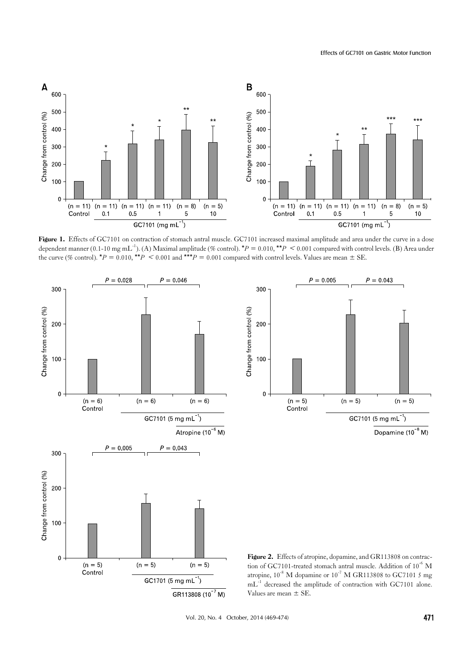$P = 0.043$ 



Figure 1. Effects of GC7101 on contraction of stomach antral muscle. GC7101 increased maximal amplitude and area under the curve in a dose dependent manner (0.1-10 mg mL<sup>-1</sup>). (A) Maximal amplitude (% control).  $*P = 0.010$ ,  $*P < 0.001$  compared with control levels. (B) Area under the curve (% control). \**P* =  $0.010$ , \*\**P* < 0.001 and \*\*\**P* = 0.001 compared with control levels. Values are mean  $\pm$  SE.





Figure 2. Effects of atropine, dopamine, and GR113808 on contraction of GC7101-treated stomach antral muscle. Addition of  $10^{-6}$  M atropine,  $10^{-8}$  M dopamine or  $10^{-7}$  M GR113808 to GC7101 5 mg mL<sup>-1</sup> decreased the amplitude of contraction with GC7101 alone.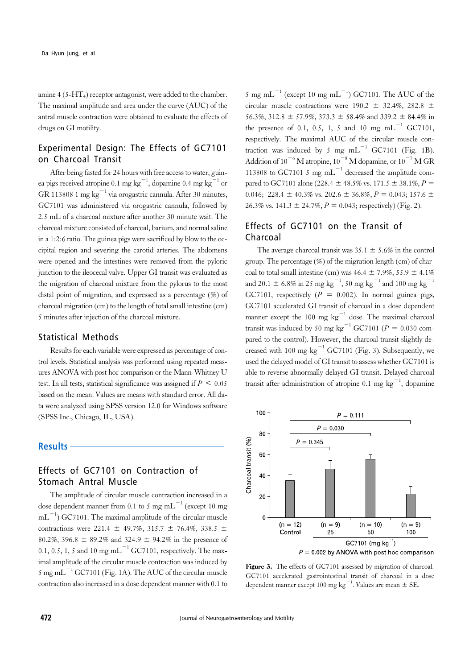amine  $4 (5 - HT_4)$  receptor antagonist, were added to the chamber. The maximal amplitude and area under the curve (AUC) of the antral muscle contraction were obtained to evaluate the effects of drugs on GI motility.

# Experimental Design: The Effects of GC7101 on Charcoal Transit

After being fasted for 24 hours with free access to water, guinea pigs received atropine 0.1 mg kg<sup>-1</sup>, dopamine 0.4 mg kg<sup>-1</sup> or GR 113808 1 mg  $kg^{-1}$  via orogastric cannula. After 30 minutes, GC7101 was administered via orogastric cannula, followed by 2.5 mL of a charcoal mixture after another 30 minute wait. The charcoal mixture consisted of charcoal, barium, and normal saline in a 1:2:6 ratio. The guinea pigs were sacrificed by blow to the occipital region and severing the carotid arteries. The abdomens were opened and the intestines were removed from the pyloric junction to the ileocecal valve. Upper GI transit was evaluated as the migration of charcoal mixture from the pylorus to the most distal point of migration, and expressed as a percentage (%) of charcoal migration (cm) to the length of total small intestine (cm) 5 minutes after injection of the charcoal mixture.

### Statistical Methods

Results for each variable were expressed as percentage of control levels. Statistical analysis was performed using repeated measures ANOVA with post hoc comparison or the Mann-Whitney U test. In all tests, statistical significance was assigned if  $P \leq 0.05$ based on the mean. Values are means with standard error. All data were analyzed using SPSS version 12.0 for Windows software (SPSS Inc., Chicago, IL, USA).

#### **Results**

# Effects of GC7101 on Contraction of Stomach Antral Muscle

The amplitude of circular muscle contraction increased in a dose dependent manner from 0.1 to 5 mg mL<sup> $^{-1}$ </sup> (except 10 mg  $mL^{-1}$ ) GC7101. The maximal amplitude of the circular muscle contractions were 221.4  $\pm$  49.7%, 315.7  $\pm$  76.4%, 338.5  $\pm$ 80.2%, 396.8  $\pm$  89.2% and 324.9  $\pm$  94.2% in the presence of 0.1, 0.5, 1, 5 and 10 mg mL $^{-1}$  GC7101, respectively. The maximal amplitude of the circular muscle contraction was induced by 5 mg mL $^{-1}$  GC7101 (Fig. 1A). The AUC of the circular muscle contraction also increased in a dose dependent manner with 0.1 to

5 mg mL<sup> $^{-1}$ </sup> (except 10 mg mL $^{-1}$ ) GC7101. The AUC of the circular muscle contractions were  $190.2 \pm 32.4\%$ ,  $282.8 \pm 1$ 56.3%, 312.8  $\pm$  57.9%, 373.3  $\pm$  58.4% and 339.2  $\pm$  84.4% in the presence of 0.1, 0.5, 1, 5 and 10 mg mL<sup>-1</sup> GC7101, respectively. The maximal AUC of the circular muscle contraction was induced by 5 mg mL<sup>-1</sup> GC7101 (Fig. 1B). Addition of 10<sup>-6</sup> M atropine, 10<sup>-8</sup> M dopamine, or 10<sup>-7</sup> M GR 113808 to GC7101 5 mg mL $^{-1}$  decreased the amplitude compared to GC7101 alone (228.4  $\pm$  48.5% vs. 171.5  $\pm$  38.1%, *P* = 0.046; 228.4  $\pm$  40.3% vs. 202.6  $\pm$  36.8%,  $P = 0.043$ ; 157.6  $\pm$ 26.3% vs. 141.3  $\pm$  24.7%,  $P = 0.043$ ; respectively) (Fig. 2).

# Effects of GC7101 on the Transit of Charcoal

The average charcoal transit was  $35.1 \pm 5.6\%$  in the control group. The percentage (%) of the migration length (cm) of charcoal to total small intestine (cm) was  $46.4 \pm 7.9\%$ ,  $55.9 \pm 4.1\%$ and 20.1  $\pm$  6.8% in 25 mg kg<sup>-1</sup>, 50 mg kg<sup>-1</sup> and 100 mg kg<sup>-1</sup> GC7101, respectively  $(P = 0.002)$ . In normal guinea pigs, GC7101 accelerated GI transit of charcoal in a dose dependent manner except the 100 mg  $\text{kg}^{-1}$  dose. The maximal charcoal transit was induced by 50 mg kg<sup>-1</sup> GC7101 ( $P = 0.030$  compared to the control). However, the charcoal transit slightly decreased with 100 mg  $\text{kg}^{-1}$  GC7101 (Fig. 3). Subsequently, we used the delayed model of GI transit to assess whether GC7101 is able to reverse abnormally delayed GI transit. Delayed charcoal transit after administration of atropine 0.1 mg kg<sup>-1</sup>, dopamine



Figure 3. The effects of GC7101 assessed by migration of charcoal. GC7101 accelerated gastrointestinal transit of charcoal in a dose dependent manner except 100 mg kg<sup>-1</sup>. Values are mean  $\pm$  SE.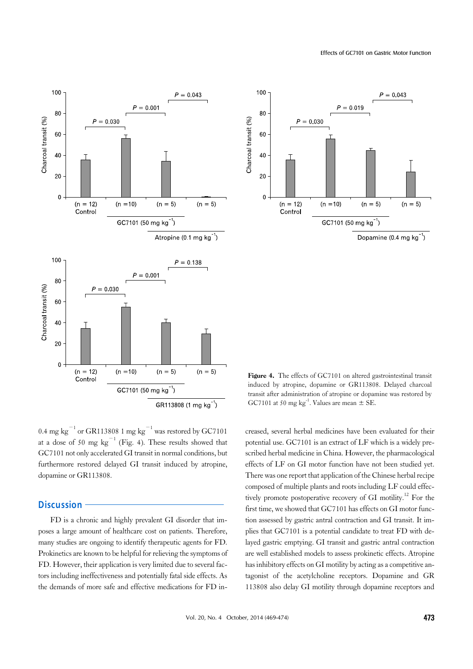

0.4 mg kg<sup> $^{-1}$ </sup> or GR113808 1 mg kg<sup> $^{-1}$ </sup> was restored by GC7101 at a dose of 50 mg  $\text{kg}^{-1}$  (Fig. 4). These results showed that GC7101 not only accelerated GI transit in normal conditions, but furthermore restored delayed GI transit induced by atropine, dopamine or GR113808.

# **Discussion**

FD is a chronic and highly prevalent GI disorder that imposes a large amount of healthcare cost on patients. Therefore, many studies are ongoing to identify therapeutic agents for FD. Prokinetics are known to be helpful for relieving the symptoms of FD. However, their application is very limited due to several factors including ineffectiveness and potentially fatal side effects. As the demands of more safe and effective medications for FD in-



Dopamine (0.4 mg kg<sup>-1</sup>)

Figure 4. The effects of GC7101 on altered gastrointestinal transit induced by atropine, dopamine or GR113808. Delayed charcoal transit after administration of atropine or dopamine was restored by GC7101 at 50 mg kg<sup>-1</sup>. Values are mean  $\pm$  SE.

creased, several herbal medicines have been evaluated for their potential use. GC7101 is an extract of LF which is a widely prescribed herbal medicine in China. However, the pharmacological effects of LF on GI motor function have not been studied yet. There was one report that application of the Chinese herbal recipe composed of multiple plants and roots including LF could effectively promote postoperative recovery of GI motility.<sup>12</sup> For the first time, we showed that GC7101 has effects on GI motor function assessed by gastric antral contraction and GI transit. It implies that GC7101 is a potential candidate to treat FD with delayed gastric emptying. GI transit and gastric antral contraction are well established models to assess prokinetic effects. Atropine has inhibitory effects on GI motility by acting as a competitive antagonist of the acetylcholine receptors. Dopamine and GR 113808 also delay GI motility through dopamine receptors and